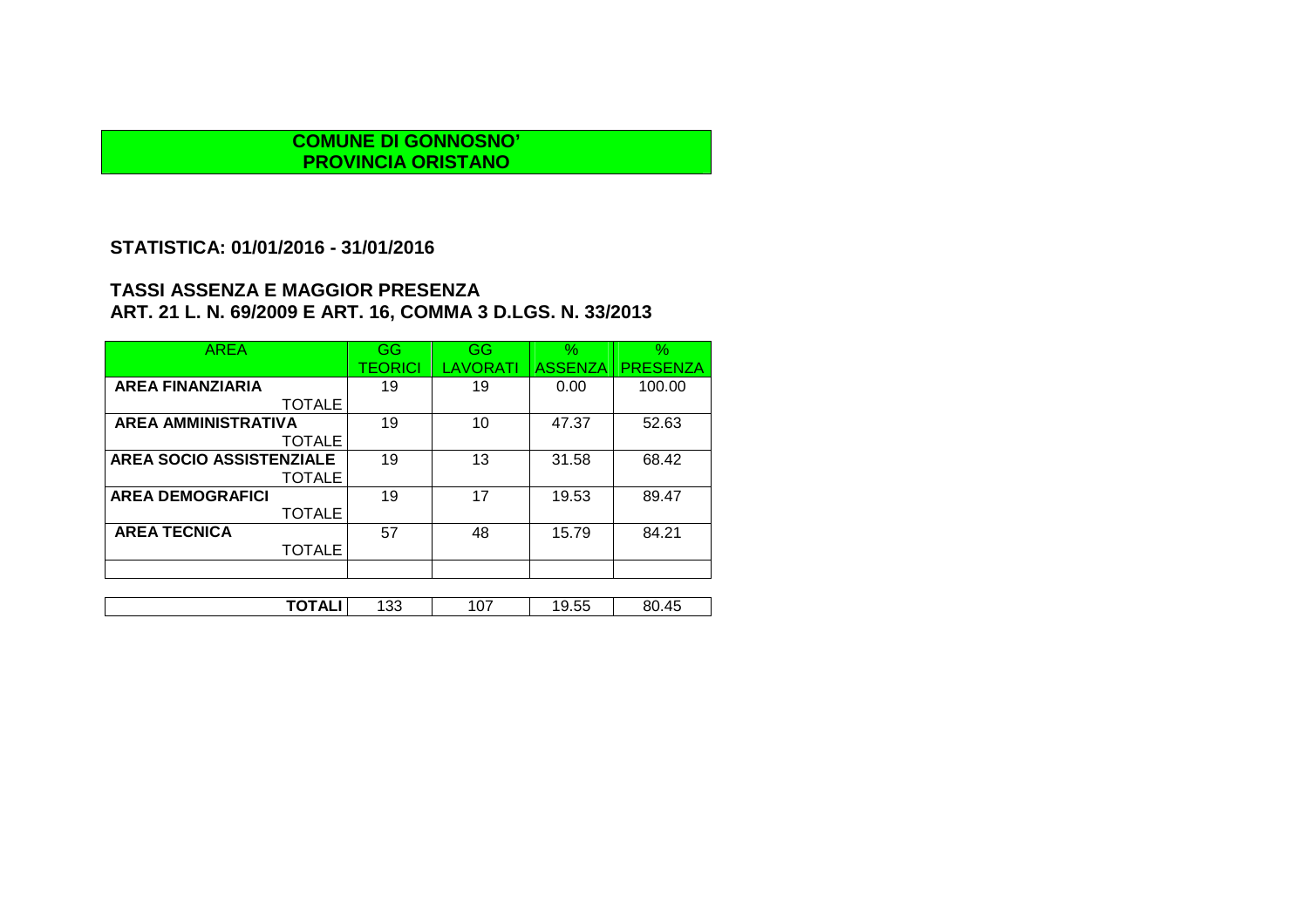### **STATISTICA: 01/01/2016 - 31/01/2016**

| <b>AREA</b>                     | GG             | GG       | $\%$           | %               |
|---------------------------------|----------------|----------|----------------|-----------------|
|                                 | <b>TEORICI</b> | LAVORATI | <b>ASSENZA</b> | <b>PRESENZA</b> |
| <b>AREA FINANZIARIA</b>         | 19             | 19       | 0.00           | 100.00          |
| <b>TOTALE</b>                   |                |          |                |                 |
| <b>AREA AMMINISTRATIVA</b>      | 19             | 10       | 47.37          | 52.63           |
| <b>TOTALE</b>                   |                |          |                |                 |
| <b>AREA SOCIO ASSISTENZIALE</b> | 19             | 13       | 31.58          | 68.42           |
| <b>TOTALE</b>                   |                |          |                |                 |
| <b>AREA DEMOGRAFICI</b>         | 19             | 17       | 19.53          | 89.47           |
| <b>TOTALE</b>                   |                |          |                |                 |
| <b>AREA TECNICA</b>             | 57             | 48       | 15.79          | 84.21           |
| <b>TOTALE</b>                   |                |          |                |                 |
|                                 |                |          |                |                 |
|                                 |                |          |                |                 |
| TOTALI                          | 133            | 107      | 19.55          | 80.45           |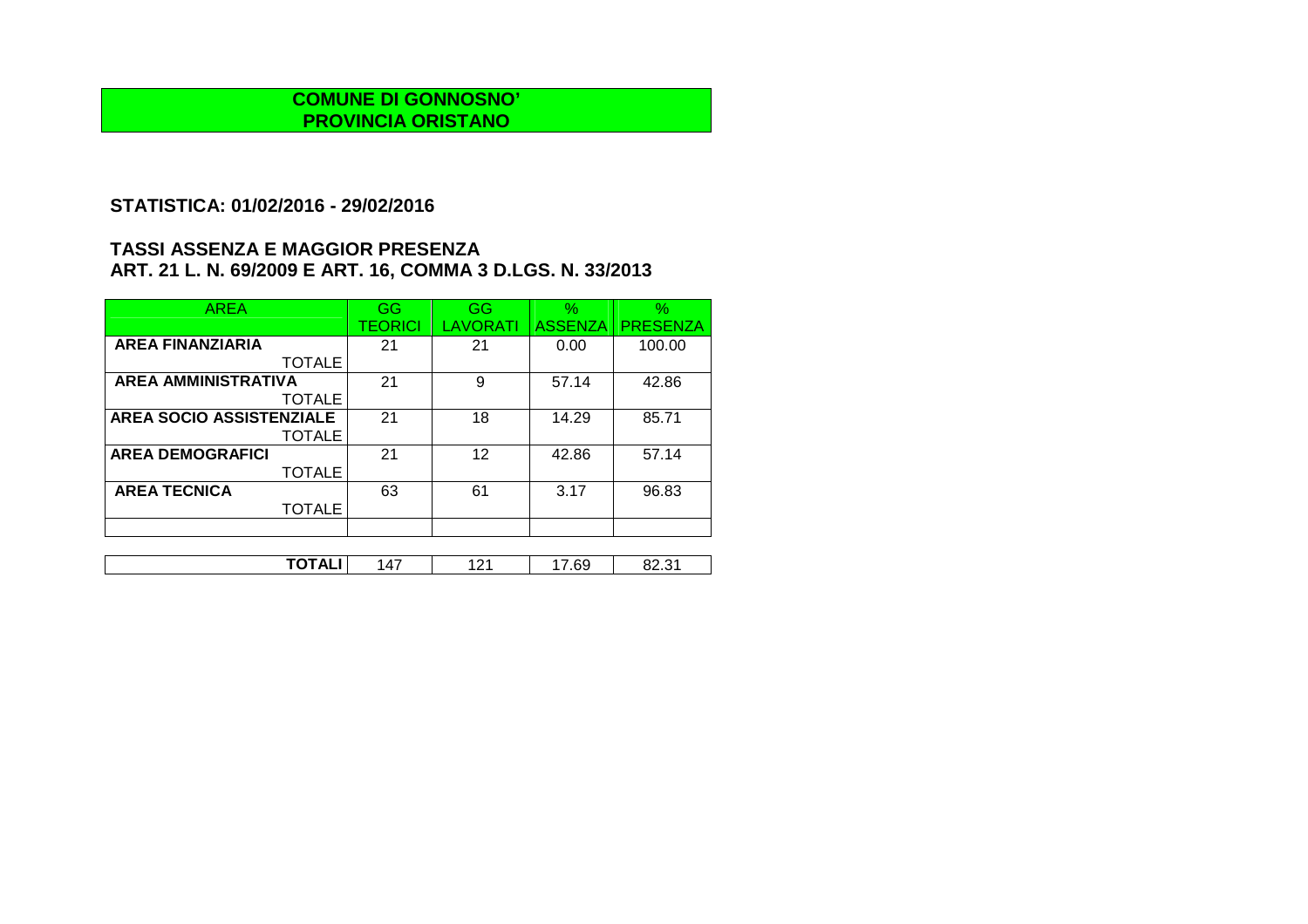### **STATISTICA: 01/02/2016 - 29/02/2016**

| <b>AREA</b>                     | GG      | GG       | $\%$           | $\%$            |
|---------------------------------|---------|----------|----------------|-----------------|
|                                 | TEORICI | LAVORATI | <b>ASSENZA</b> | <b>PRESENZA</b> |
| <b>AREA FINANZIARIA</b>         | 21      | 21       | 0.00           | 100.00          |
| <b>TOTALE</b>                   |         |          |                |                 |
| <b>AREA AMMINISTRATIVA</b>      | 21      | 9        | 57.14          | 42.86           |
| <b>TOTALE</b>                   |         |          |                |                 |
| <b>AREA SOCIO ASSISTENZIALE</b> | 21      | 18       | 14.29          | 85.71           |
| <b>TOTALE</b>                   |         |          |                |                 |
| <b>AREA DEMOGRAFICI</b>         | 21      | 12       | 42.86          | 57.14           |
| <b>TOTALE</b>                   |         |          |                |                 |
| <b>AREA TECNICA</b>             | 63      | 61       | 3.17           | 96.83           |
| <b>TOTALE</b>                   |         |          |                |                 |
|                                 |         |          |                |                 |

| ¬∟<br><br>ו ש<br>. | ----- | $\cdot$ $\prime$ | - | $\sim$<br>n |  |
|--------------------|-------|------------------|---|-------------|--|
|                    |       |                  |   |             |  |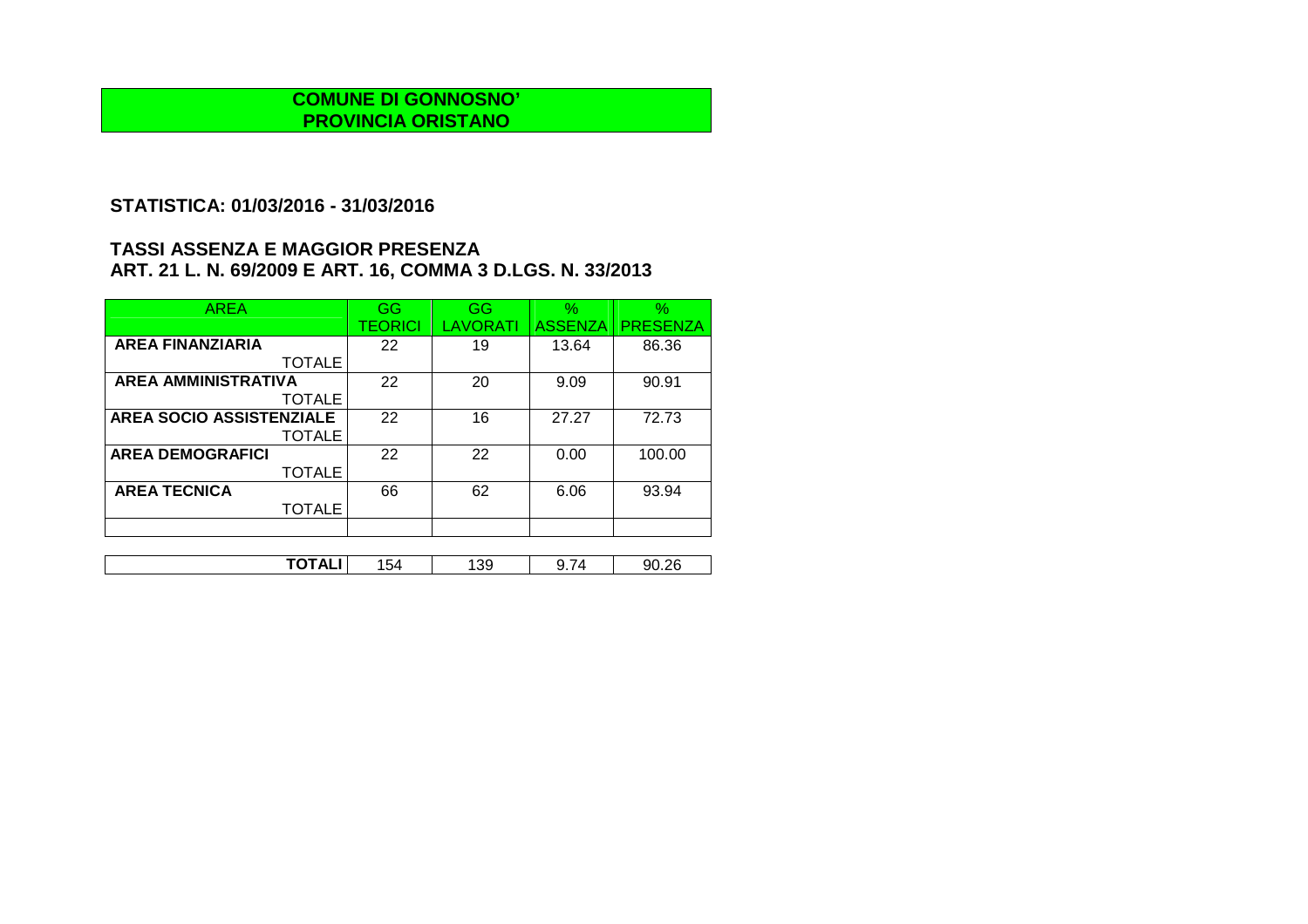## **STATISTICA: 01/03/2016 - 31/03/2016**

| <b>AREA</b>                     | GG      | GG       | $\%$           | $\%$            |
|---------------------------------|---------|----------|----------------|-----------------|
|                                 | TEORICI | LAVORATI | <b>ASSENZA</b> | <b>PRESENZA</b> |
| <b>AREA FINANZIARIA</b>         | 22      | 19       | 13.64          | 86.36           |
| <b>TOTALE</b>                   |         |          |                |                 |
| <b>AREA AMMINISTRATIVA</b>      | 22      | 20       | 9.09           | 90.91           |
| <b>TOTALE</b>                   |         |          |                |                 |
| <b>AREA SOCIO ASSISTENZIALE</b> | 22      | 16       | 27.27          | 72.73           |
| <b>TOTALE</b>                   |         |          |                |                 |
| <b>AREA DEMOGRAFICI</b>         | 22      | 22       | 0.00           | 100.00          |
| <b>TOTALE</b>                   |         |          |                |                 |
| <b>AREA TECNICA</b>             | 66      | 62       | 6.06           | 93.94           |
| <b>TOTALE</b>                   |         |          |                |                 |
|                                 |         |          |                |                 |

| .<br>∼ –<br>. | - מר<br>ר ש | 39 | -<br>u<br>- - - | ገር<br>ar |
|---------------|-------------|----|-----------------|----------|
|               |             |    |                 |          |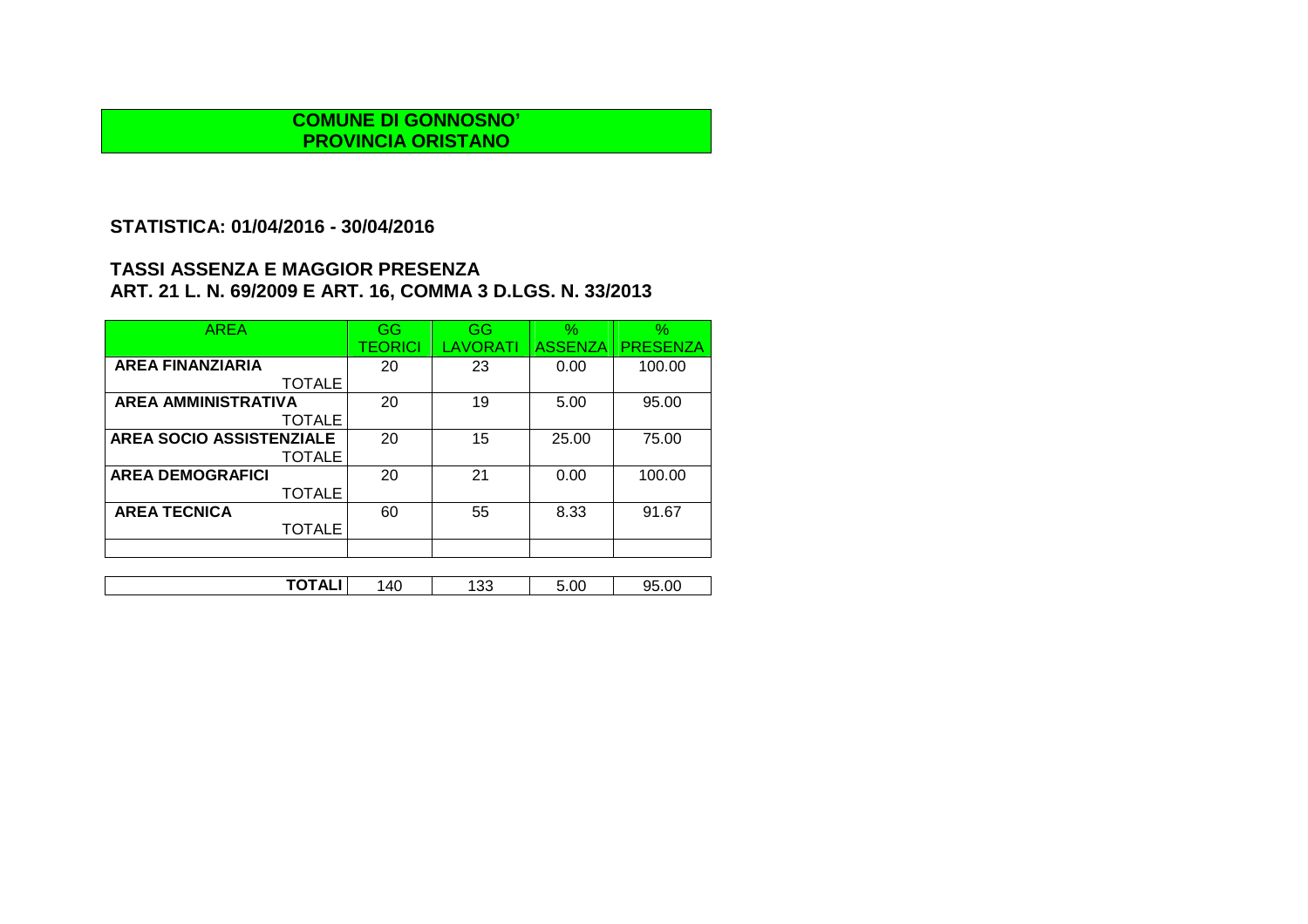## **STATISTICA: 01/04/2016 - 30/04/2016**

| <b>AREA</b>                     | GG      | GG              | $\%$           | $\%$            |
|---------------------------------|---------|-----------------|----------------|-----------------|
|                                 | TEORICI | <b>LAVORATI</b> | <b>ASSENZA</b> | <b>PRESENZA</b> |
| <b>AREA FINANZIARIA</b>         | 20      | 23              | 0.00           | 100.00          |
| <b>TOTALE</b>                   |         |                 |                |                 |
| <b>AREA AMMINISTRATIVA</b>      | 20      | 19              | 5.00           | 95.00           |
| <b>TOTALE</b>                   |         |                 |                |                 |
| <b>AREA SOCIO ASSISTENZIALE</b> | 20      | 15              | 25.00          | 75.00           |
| <b>TOTALE</b>                   |         |                 |                |                 |
| <b>AREA DEMOGRAFICI</b>         | 20      | 21              | 0.00           | 100.00          |
| <b>TOTALE</b>                   |         |                 |                |                 |
| <b>AREA TECNICA</b>             | 60      | 55              | 8.33           | 91.67           |
| <b>TOTALE</b>                   |         |                 |                |                 |
|                                 |         |                 |                |                 |
|                                 |         |                 |                |                 |

| ------<br>∼⊾<br>ັ | $\Delta \cap$<br>_<br>ru | າາ<br>ು | 5.00 | 5.OC<br>ነር |
|-------------------|--------------------------|---------|------|------------|
|-------------------|--------------------------|---------|------|------------|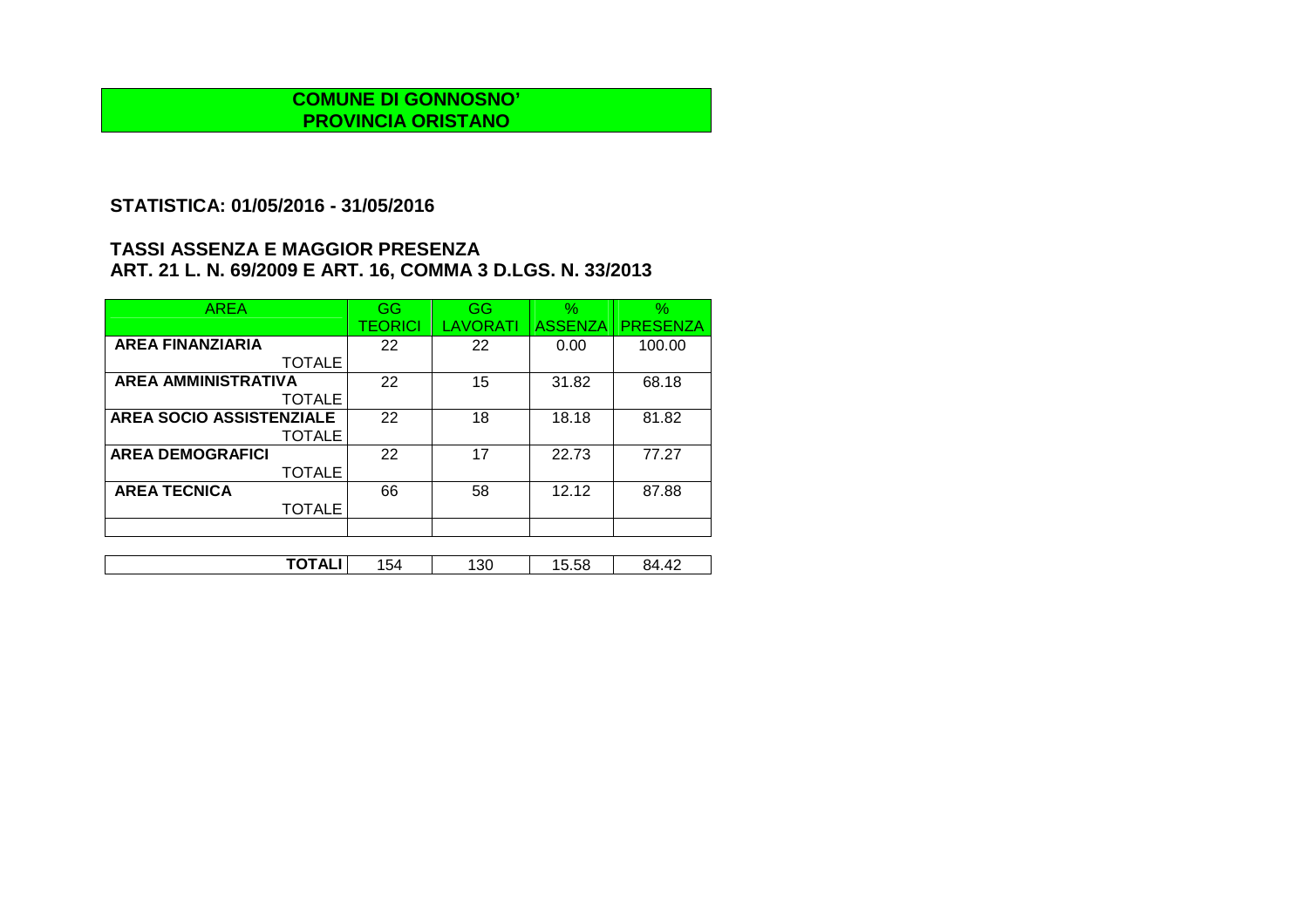## **STATISTICA: 01/05/2016 - 31/05/2016**

| <b>AREA</b>                     | GG             | GG       | $\frac{1}{2}$  | $\%$            |
|---------------------------------|----------------|----------|----------------|-----------------|
|                                 | <b>TEORICI</b> | LAVORATI | <b>ASSENZA</b> | <b>PRESENZA</b> |
| <b>AREA FINANZIARIA</b>         | 22             | 22       | 0.00           | 100.00          |
| <b>TOTALE</b>                   |                |          |                |                 |
| <b>AREA AMMINISTRATIVA</b>      | 22             | 15       | 31.82          | 68.18           |
| <b>TOTALE</b>                   |                |          |                |                 |
| <b>AREA SOCIO ASSISTENZIALE</b> | 22             | 18       | 18.18          | 81.82           |
| <b>TOTALE</b>                   |                |          |                |                 |
| <b>AREA DEMOGRAFICI</b>         | 22             | 17       | 22.73          | 77.27           |
| <b>TOTALE</b>                   |                |          |                |                 |
| <b>AREA TECNICA</b>             | 66             | 58       | 12.12          | 87.88           |
| <b>TOTALE</b>                   |                |          |                |                 |
|                                 |                |          |                |                 |

| . .<br>──<br>. <del>.</del> | ໍ່ົ<br>◡┭ | 30 | $ -$<br>היה<br>∪.∪ບ | $\Lambda$<br>$\overline{ }$<br>. |
|-----------------------------|-----------|----|---------------------|----------------------------------|
|                             |           |    |                     |                                  |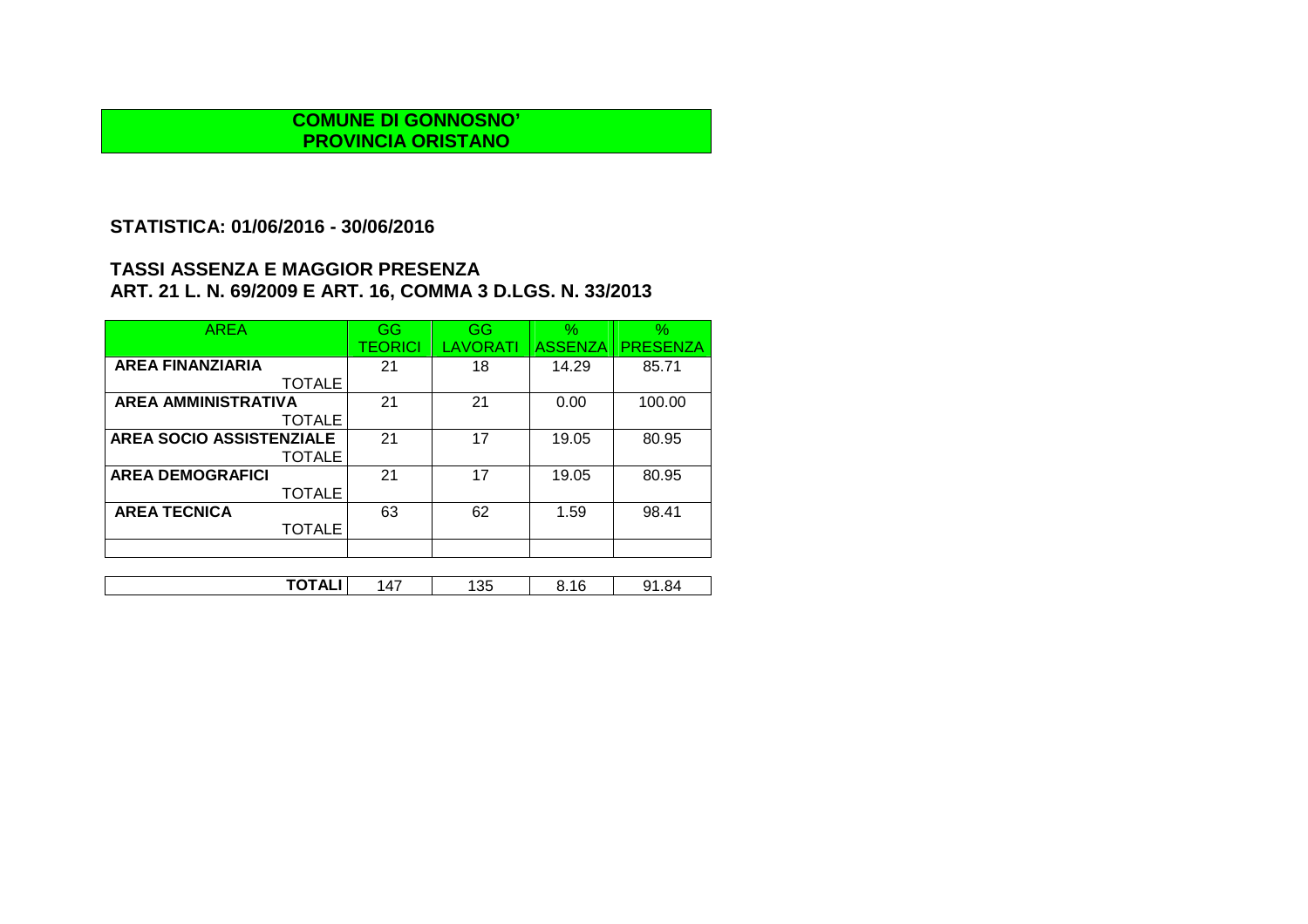## **STATISTICA: 01/06/2016 - 30/06/2016**

| <b>AREA</b>                     | GG      | GG              | $\%$           | $\%$            |
|---------------------------------|---------|-----------------|----------------|-----------------|
|                                 | TEORICI | <b>LAVORATI</b> | <b>ASSENZA</b> | <b>PRESENZA</b> |
| <b>AREA FINANZIARIA</b>         | 21      | 18              | 14.29          | 85.71           |
| <b>TOTALE</b>                   |         |                 |                |                 |
| <b>AREA AMMINISTRATIVA</b>      | 21      | 21              | 0.00           | 100.00          |
| <b>TOTALE</b>                   |         |                 |                |                 |
| <b>AREA SOCIO ASSISTENZIALE</b> | 21      | 17              | 19.05          | 80.95           |
| <b>TOTALE</b>                   |         |                 |                |                 |
| <b>AREA DEMOGRAFICI</b>         | 21      | 17              | 19.05          | 80.95           |
| <b>TOTALE</b>                   |         |                 |                |                 |
| <b>AREA TECNICA</b>             | 63      | 62              | 1.59           | 98.41           |
| <b>TOTALE</b>                   |         |                 |                |                 |
|                                 |         |                 |                |                 |
|                                 |         |                 |                |                 |

| ------<br>つら<br>. .<br>íЛ<br>16<br>. .84<br>ഄഄ<br>$\overline{\phantom{a}}$<br>_<br>ں ب |
|----------------------------------------------------------------------------------------|
|----------------------------------------------------------------------------------------|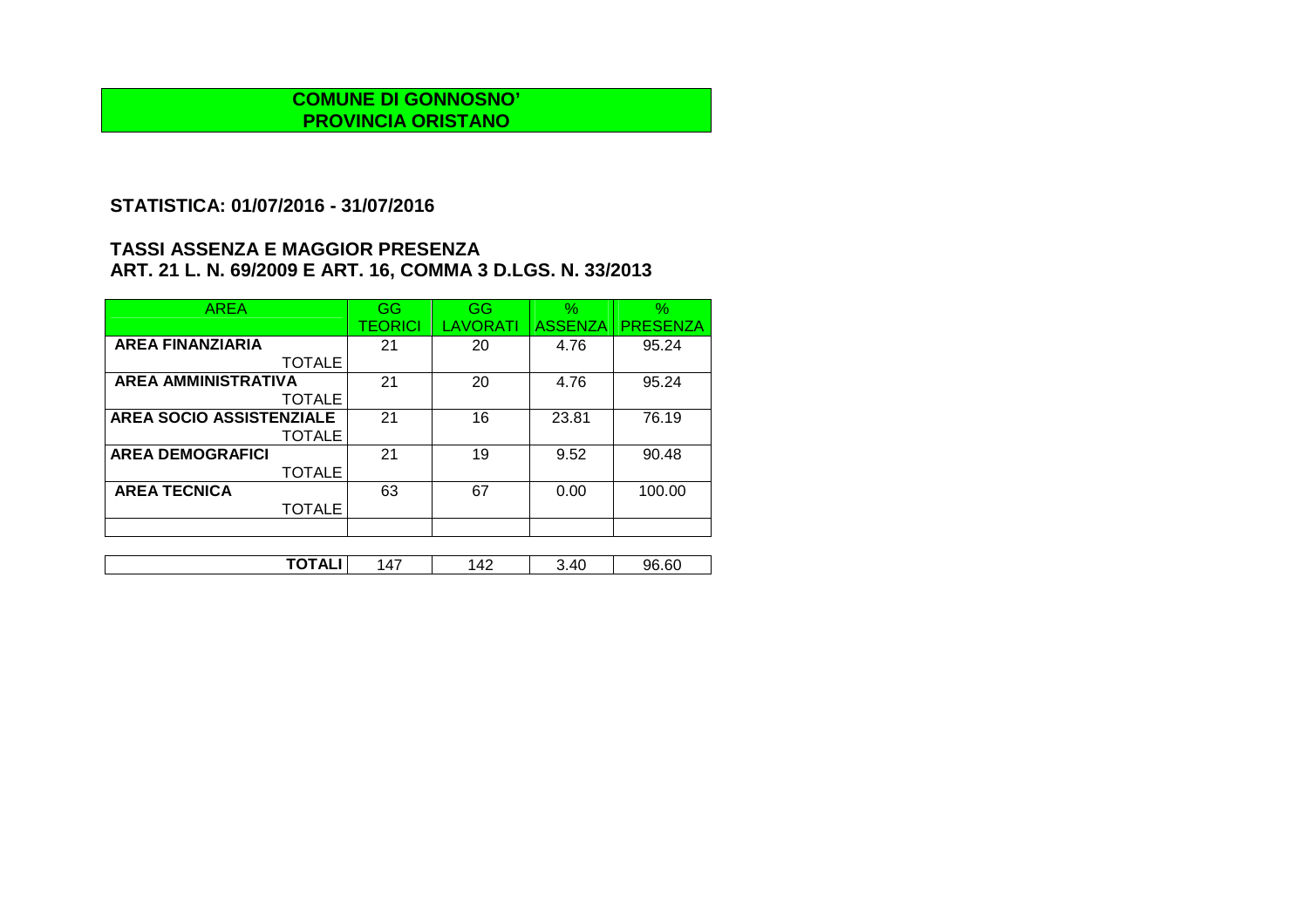## **STATISTICA: 01/07/2016 - 31/07/2016**

| <b>AREA</b>                | GG      | GG       | $\frac{1}{2}$  | $\%$            |
|----------------------------|---------|----------|----------------|-----------------|
|                            | TEORICI | LAVORATI | <b>ASSENZA</b> | <b>PRESENZA</b> |
| <b>AREA FINANZIARIA</b>    | 21      | 20       | 4.76           | 95.24           |
| <b>TOTALE</b>              |         |          |                |                 |
| <b>AREA AMMINISTRATIVA</b> | 21      | 20       | 4.76           | 95.24           |
| <b>TOTALE</b>              |         |          |                |                 |
| AREA SOCIO ASSISTENZIALE   | 21      | 16       | 23.81          | 76.19           |
| <b>TOTALE</b>              |         |          |                |                 |
| <b>AREA DEMOGRAFICI</b>    | 21      | 19       | 9.52           | 90.48           |
| <b>TOTALE</b>              |         |          |                |                 |
| <b>AREA TECNICA</b>        | 63      | 67       | 0.00           | 100.00          |
| <b>TOTALE</b>              |         |          |                |                 |
|                            |         |          |                |                 |

| .<br>$\Lambda$<br>าธ<br>.60<br>$\Lambda$ '<br>$\cdot$ $\prime$<br>╍<br>¬⊾.<br>TV<br>. |  |  |  |
|---------------------------------------------------------------------------------------|--|--|--|
|                                                                                       |  |  |  |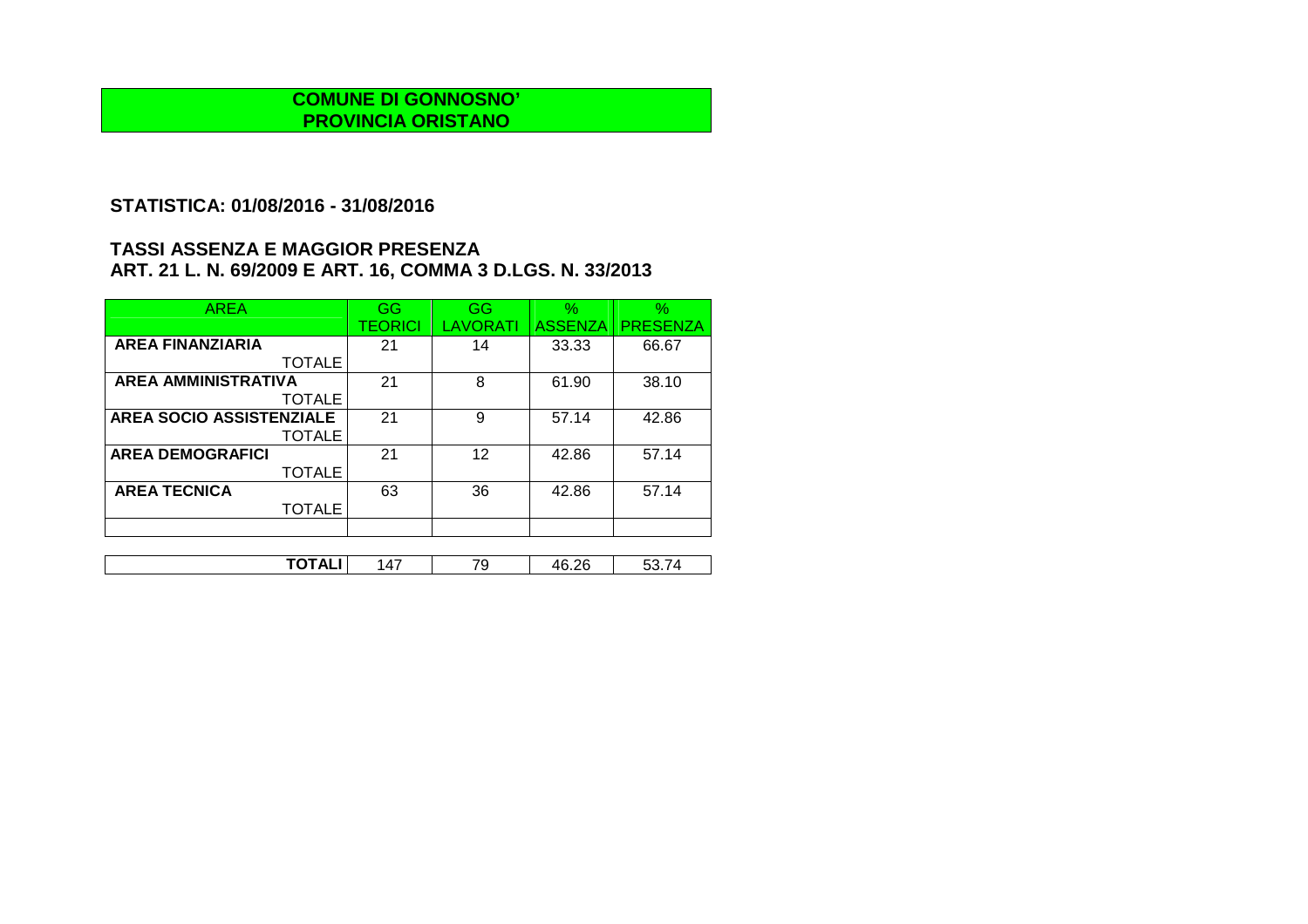## **STATISTICA: 01/08/2016 - 31/08/2016**

| <b>AREA</b>                | GG      | GG       | $\%$           | $\%$            |
|----------------------------|---------|----------|----------------|-----------------|
|                            | TEORICI | LAVORATI | <b>ASSENZA</b> | <b>PRESENZA</b> |
| <b>AREA FINANZIARIA</b>    | 21      | 14       | 33.33          | 66.67           |
| <b>TOTALE</b>              |         |          |                |                 |
| <b>AREA AMMINISTRATIVA</b> | 21      | 8        | 61.90          | 38.10           |
| <b>TOTALE</b>              |         |          |                |                 |
| AREA SOCIO ASSISTENZIALE   | 21      | 9        | 57.14          | 42.86           |
| <b>TOTALE</b>              |         |          |                |                 |
| <b>AREA DEMOGRAFICI</b>    | 21      | 12       | 42.86          | 57.14           |
| <b>TOTALE</b>              |         |          |                |                 |
| <b>AREA TECNICA</b>        | 63      | 36       | 42.86          | 57.14           |
| <b>TOTALE</b>              |         |          |                |                 |
|                            |         |          |                |                 |

| .<br>---<br>$\overline{\phantom{a}}$ | $\Lambda$ | 70<br>л. | $\sim$<br>,,,<br>71 K<br>◡.←◡ |  |
|--------------------------------------|-----------|----------|-------------------------------|--|
|                                      |           |          |                               |  |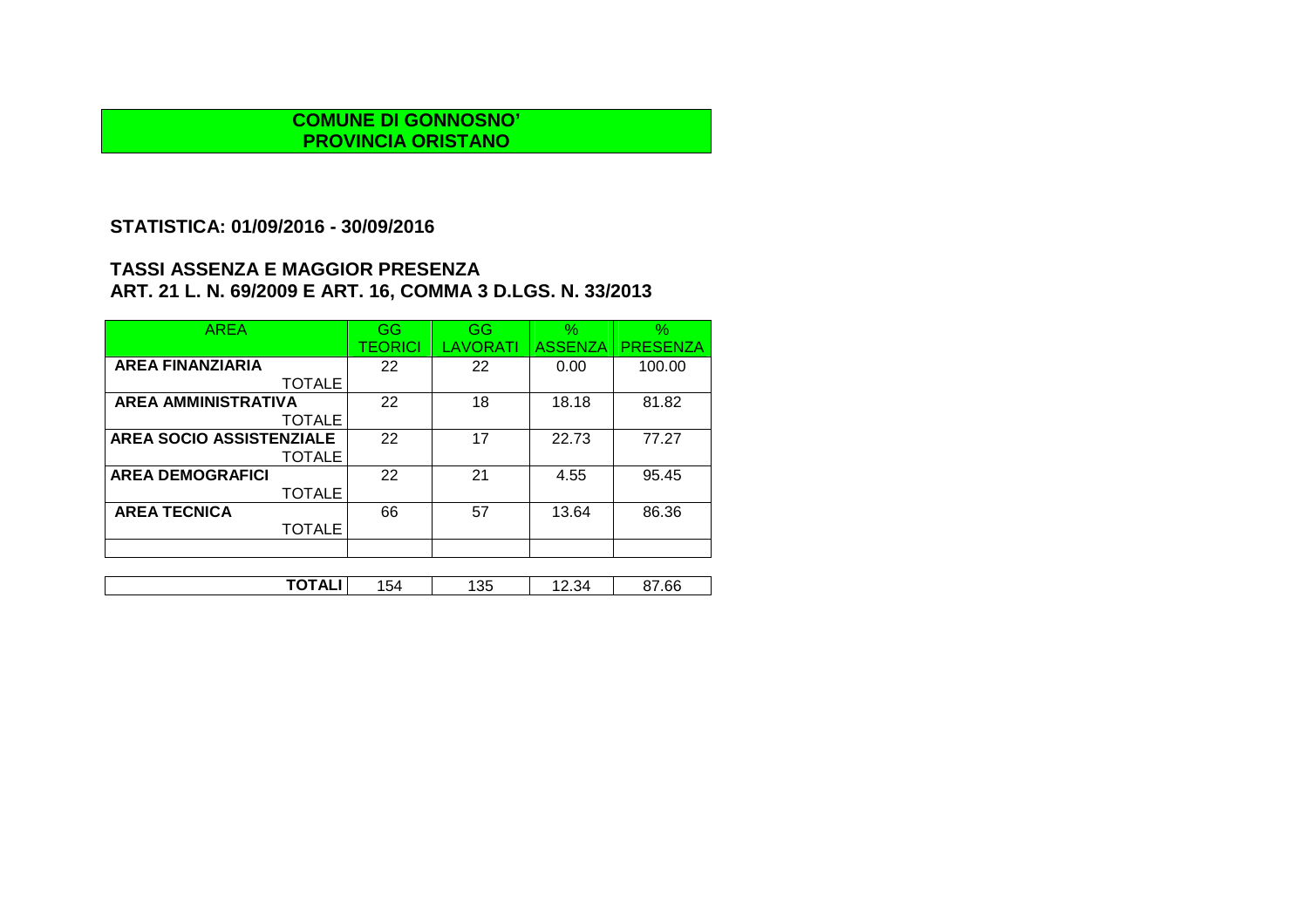## **STATISTICA: 01/09/2016 - 30/09/2016**

| <b>AREA</b>                     | GG             | GG              | $\%$           | $\%$            |
|---------------------------------|----------------|-----------------|----------------|-----------------|
|                                 | <b>TEORICI</b> | <b>LAVORATI</b> | <b>ASSENZA</b> | <b>PRESENZA</b> |
| <b>AREA FINANZIARIA</b>         | 22             | 22              | 0.00           | 100.00          |
| <b>TOTALE</b>                   |                |                 |                |                 |
| <b>AREA AMMINISTRATIVA</b>      | 22             | 18              | 18.18          | 81.82           |
| <b>TOTALE</b>                   |                |                 |                |                 |
| <b>AREA SOCIO ASSISTENZIALE</b> | 22             | 17              | 22.73          | 77.27           |
| <b>TOTALE</b>                   |                |                 |                |                 |
| <b>AREA DEMOGRAFICI</b>         | 22             | 21              | 4.55           | 95.45           |
| <b>TOTALE</b>                   |                |                 |                |                 |
| <b>AREA TECNICA</b>             | 66             | 57              | 13.64          | 86.36           |
| <b>TOTALE</b>                   |                |                 |                |                 |
|                                 |                |                 |                |                 |
|                                 |                |                 |                |                 |

| ------<br>.66<br>つに<br>$\sim$<br>.<br>154<br>ಀಀ<br>∼<br>ັ<br>דשי⊾ו |
|--------------------------------------------------------------------|
|--------------------------------------------------------------------|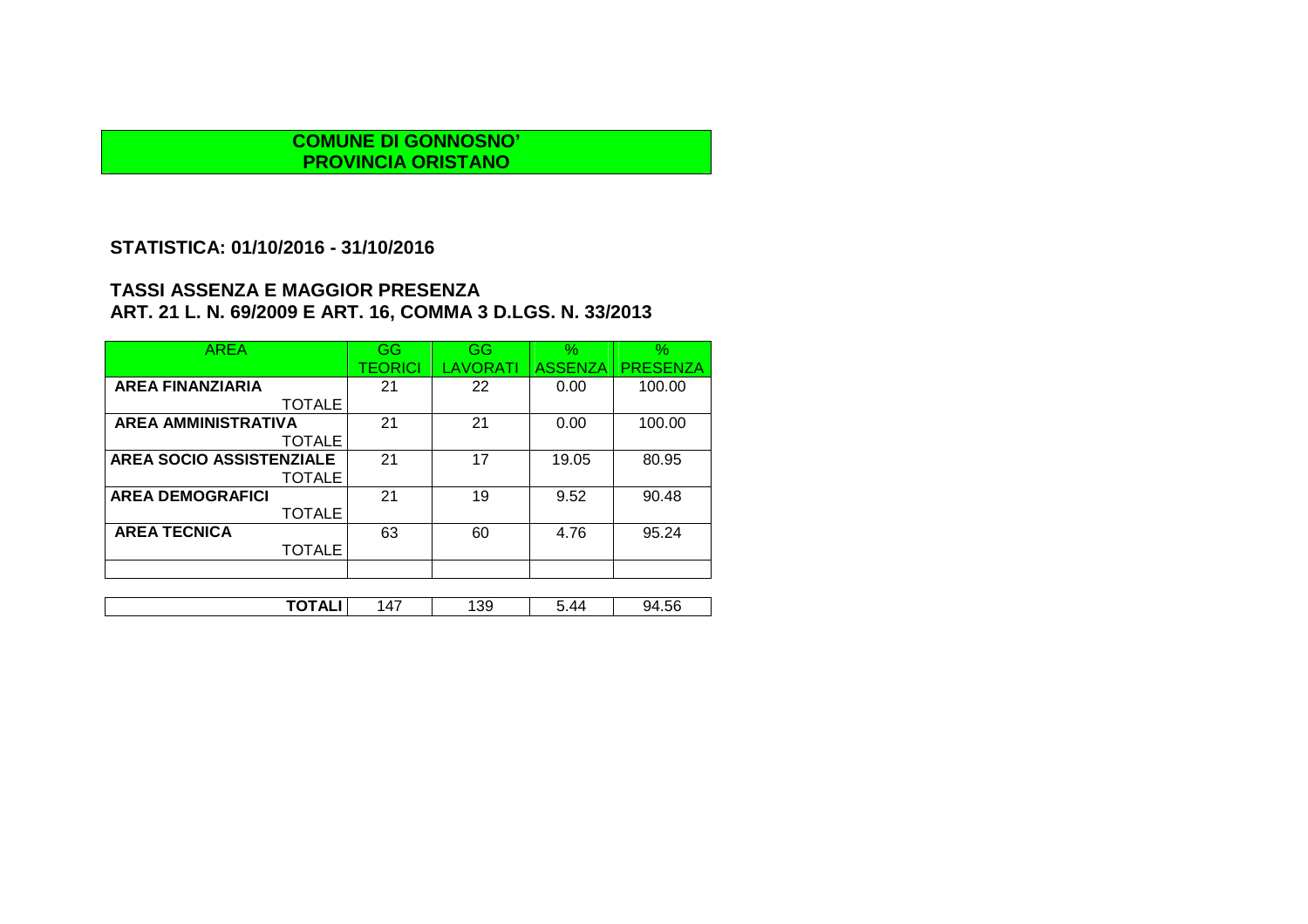### **STATISTICA: 01/10/2016 - 31/10/2016**

| <b>AREA</b>                | GG      | <b>GG</b>       | $\%$           | $\%$            |
|----------------------------|---------|-----------------|----------------|-----------------|
|                            | TEORICI | <b>LAVORATI</b> | <b>ASSENZA</b> | <b>PRESENZA</b> |
| <b>AREA FINANZIARIA</b>    | 21      | 22              | 0.00           | 100.00          |
| <b>TOTALE</b>              |         |                 |                |                 |
| <b>AREA AMMINISTRATIVA</b> | 21      | 21              | 0.00           | 100.00          |
| <b>TOTALE</b>              |         |                 |                |                 |
| AREA SOCIO ASSISTENZIALE   | 21      | 17              | 19.05          | 80.95           |
| <b>TOTALE</b>              |         |                 |                |                 |
| <b>AREA DEMOGRAFICI</b>    | 21      | 19              | 9.52           | 90.48           |
| <b>TOTALE</b>              |         |                 |                |                 |
| <b>AREA TECNICA</b>        | 63      | 60              | 4.76           | 95.24           |
| <b>TOTALE</b>              |         |                 |                |                 |
|                            |         |                 |                |                 |
|                            |         |                 |                |                 |
| TOTALI                     | 147     | 139             | 5.44           | 94.56           |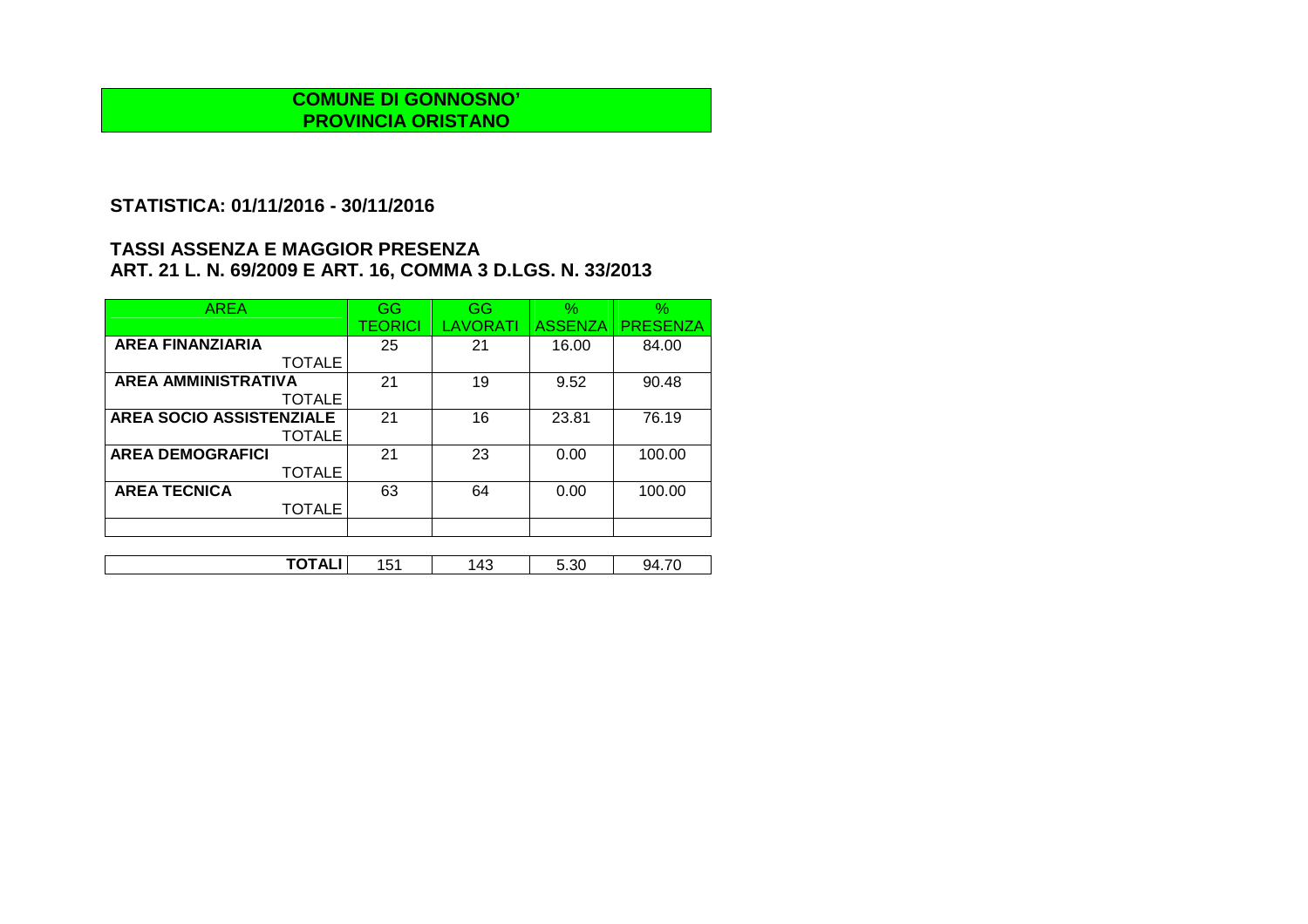## **STATISTICA: 01/11/2016 - 30/11/2016**

| <b>AREA</b>                     | GG             | GG       | $\frac{1}{2}$  | $\%$            |
|---------------------------------|----------------|----------|----------------|-----------------|
|                                 | <b>TEORICI</b> | LAVORATI | <b>ASSENZA</b> | <b>PRESENZA</b> |
| <b>AREA FINANZIARIA</b>         | 25             | 21       | 16.00          | 84.00           |
| <b>TOTALE</b>                   |                |          |                |                 |
| <b>AREA AMMINISTRATIVA</b>      | 21             | 19       | 9.52           | 90.48           |
| <b>TOTALE</b>                   |                |          |                |                 |
| <b>AREA SOCIO ASSISTENZIALE</b> | 21             | 16       | 23.81          | 76.19           |
| <b>TOTALE</b>                   |                |          |                |                 |
| <b>AREA DEMOGRAFICI</b>         | 21             | 23       | 0.00           | 100.00          |
| <b>TOTALE</b>                   |                |          |                |                 |
| <b>AREA TECNICA</b>             | 63             | 64       | 0.00           | 100.00          |
| <b>TOTALE</b>                   |                |          |                |                 |
|                                 |                |          |                |                 |

| .       |          |             |               |         |
|---------|----------|-------------|---------------|---------|
| ¬∟<br>. | . .<br>ີ | . A C<br>᠇៶ | $\sim$<br>いいし | JД<br>. |
|         |          |             |               |         |